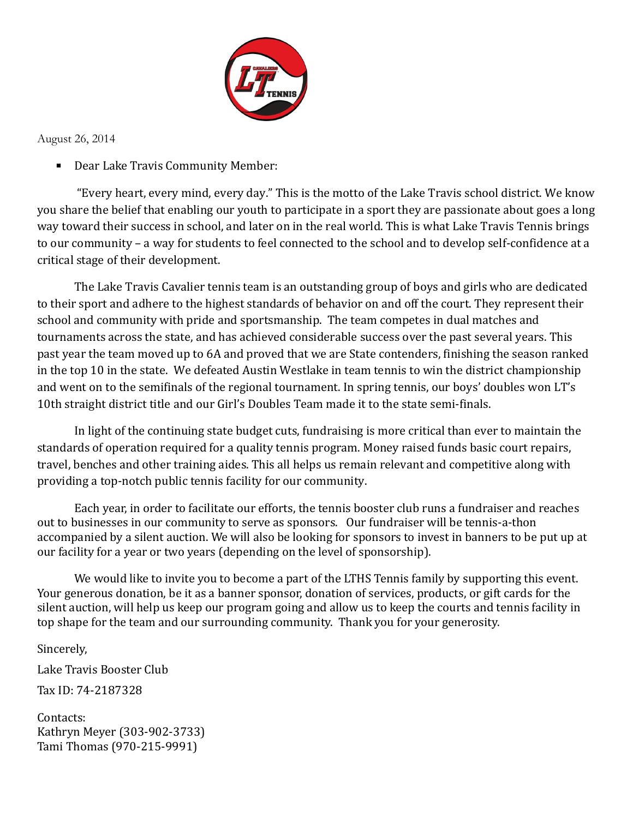

August 26, 2014

**• Dear Lake Travis Community Member:** 

"Every heart, every mind, every day." This is the motto of the Lake Travis school district. We know you share the belief that enabling our youth to participate in a sport they are passionate about goes a long way toward their success in school, and later on in the real world. This is what Lake Travis Tennis brings to our community – a way for students to feel connected to the school and to develop self-confidence at a critical stage of their development.

The Lake Travis Cavalier tennis team is an outstanding group of boys and girls who are dedicated to their sport and adhere to the highest standards of behavior on and off the court. They represent their school and community with pride and sportsmanship. The team competes in dual matches and tournaments across the state, and has achieved considerable success over the past several years. This past year the team moved up to 6A and proved that we are State contenders, finishing the season ranked in the top 10 in the state. We defeated Austin Westlake in team tennis to win the district championship and went on to the semifinals of the regional tournament. In spring tennis, our boys' doubles won LT's 10th straight district title and our Girl's Doubles Team made it to the state semi-finals.

In light of the continuing state budget cuts, fundraising is more critical than ever to maintain the standards of operation required for a quality tennis program. Money raised funds basic court repairs, travel, benches and other training aides. This all helps us remain relevant and competitive along with providing a top-notch public tennis facility for our community.

Each year, in order to facilitate our efforts, the tennis booster club runs a fundraiser and reaches out to businesses in our community to serve as sponsors. Our fundraiser will be tennis-a-thon accompanied by a silent auction. We will also be looking for sponsors to invest in banners to be put up at our facility for a year or two years (depending on the level of sponsorship).

We would like to invite you to become a part of the LTHS Tennis family by supporting this event. Your generous donation, be it as a banner sponsor, donation of services, products, or gift cards for the silent auction, will help us keep our program going and allow us to keep the courts and tennis facility in top shape for the team and our surrounding community. Thank you for your generosity.

Sincerely,

Lake Travis Booster Club

Tax ID: 74-2187328

Contacts: Kathryn Meyer (303-902-3733) Tami Thomas (970-215-9991)